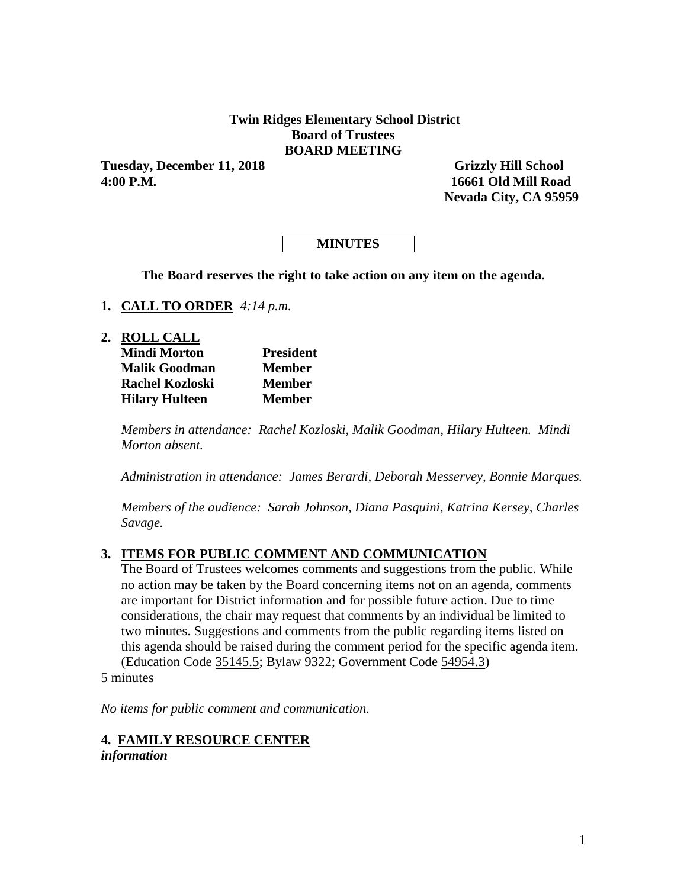### **Twin Ridges Elementary School District Board of Trustees BOARD MEETING**

Tuesday, December 11, 2018 Grizzly Hill School **4:00 P.M. 16661 Old Mill Road** 

 **Nevada City, CA 95959**

## **MINUTES**

**The Board reserves the right to take action on any item on the agenda.**

- **1. CALL TO ORDER** *4:14 p.m.*
- **2. ROLL CALL**

| <b>Mindi Morton</b>    | <b>President</b> |
|------------------------|------------------|
| <b>Malik Goodman</b>   | <b>Member</b>    |
| <b>Rachel Kozloski</b> | <b>Member</b>    |
| <b>Hilary Hulteen</b>  | <b>Member</b>    |

*Members in attendance: Rachel Kozloski, Malik Goodman, Hilary Hulteen. Mindi Morton absent.*

*Administration in attendance: James Berardi, Deborah Messervey, Bonnie Marques.*

*Members of the audience: Sarah Johnson, Diana Pasquini, Katrina Kersey, Charles Savage.*

### **3. ITEMS FOR PUBLIC COMMENT AND COMMUNICATION**

The Board of Trustees welcomes comments and suggestions from the public. While no action may be taken by the Board concerning items not on an agenda, comments are important for District information and for possible future action. Due to time considerations, the chair may request that comments by an individual be limited to two minutes. Suggestions and comments from the public regarding items listed on this agenda should be raised during the comment period for the specific agenda item. (Education Code 35145.5; Bylaw 9322; Government Code 54954.3)

5 minutes

*No items for public comment and communication.*

**4. FAMILY RESOURCE CENTER** *information*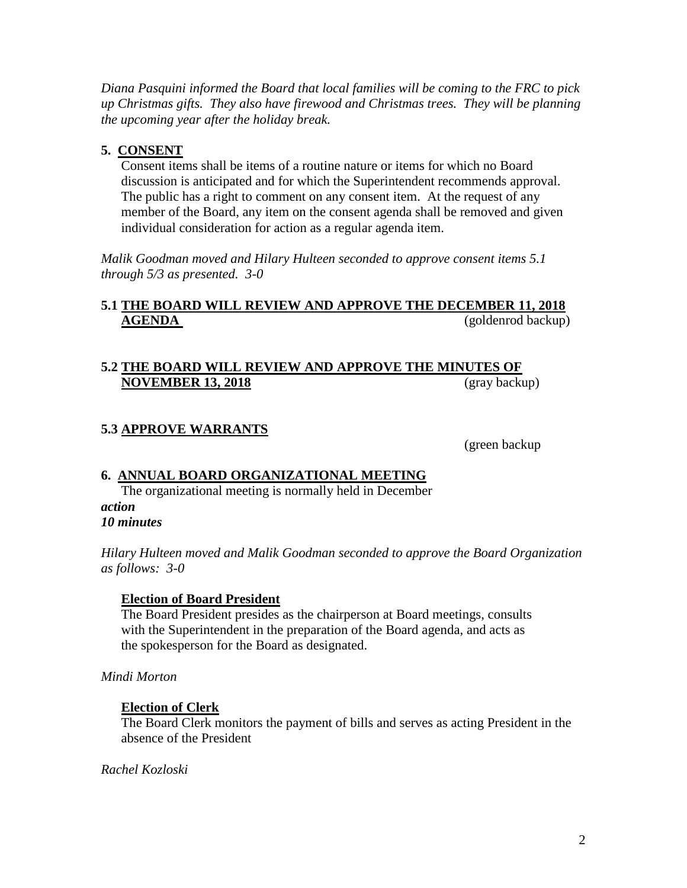*Diana Pasquini informed the Board that local families will be coming to the FRC to pick up Christmas gifts. They also have firewood and Christmas trees. They will be planning the upcoming year after the holiday break.*

## **5. CONSENT**

Consent items shall be items of a routine nature or items for which no Board discussion is anticipated and for which the Superintendent recommends approval. The public has a right to comment on any consent item. At the request of any member of the Board, any item on the consent agenda shall be removed and given individual consideration for action as a regular agenda item.

*Malik Goodman moved and Hilary Hulteen seconded to approve consent items 5.1 through 5/3 as presented. 3-0*

## **5.1 THE BOARD WILL REVIEW AND APPROVE THE DECEMBER 11, 2018 AGENDA** (goldenrod backup)

## **5.2 THE BOARD WILL REVIEW AND APPROVE THE MINUTES OF NOVEMBER 13, 2018** (gray backup)

## **5.3 APPROVE WARRANTS**

(green backup

## **6. ANNUAL BOARD ORGANIZATIONAL MEETING**

The organizational meeting is normally held in December *action 10 minutes*

*Hilary Hulteen moved and Malik Goodman seconded to approve the Board Organization as follows: 3-0*

### **Election of Board President**

The Board President presides as the chairperson at Board meetings, consults with the Superintendent in the preparation of the Board agenda, and acts as the spokesperson for the Board as designated.

*Mindi Morton*

### **Election of Clerk**

The Board Clerk monitors the payment of bills and serves as acting President in the absence of the President

*Rachel Kozloski*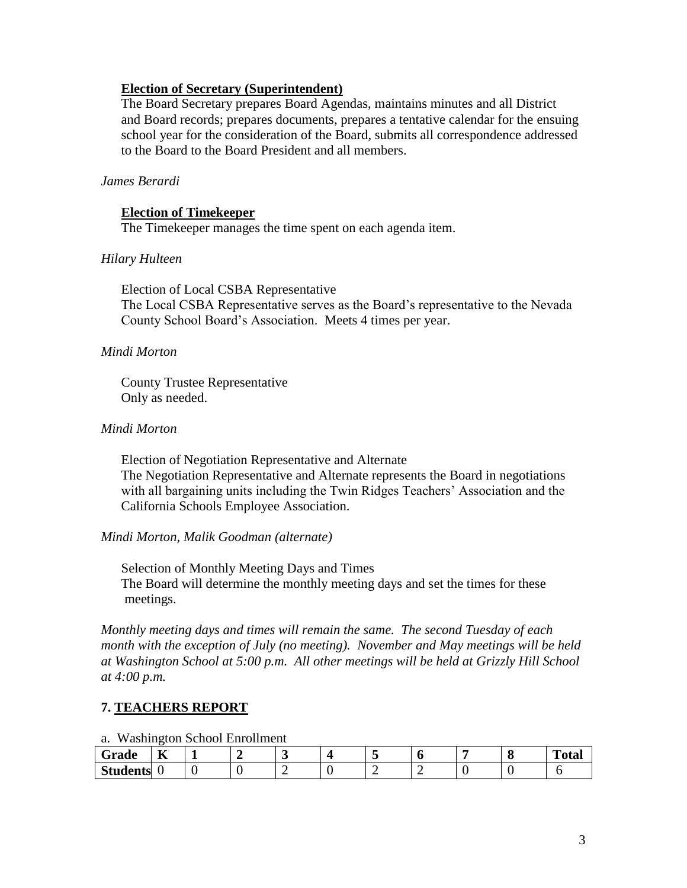## **Election of Secretary (Superintendent)**

The Board Secretary prepares Board Agendas, maintains minutes and all District and Board records; prepares documents, prepares a tentative calendar for the ensuing school year for the consideration of the Board, submits all correspondence addressed to the Board to the Board President and all members.

## *James Berardi*

### **Election of Timekeeper**

The Timekeeper manages the time spent on each agenda item.

## *Hilary Hulteen*

Election of Local CSBA Representative The Local CSBA Representative serves as the Board's representative to the Nevada County School Board's Association. Meets 4 times per year.

### *Mindi Morton*

County Trustee Representative Only as needed.

### *Mindi Morton*

Election of Negotiation Representative and Alternate The Negotiation Representative and Alternate represents the Board in negotiations with all bargaining units including the Twin Ridges Teachers' Association and the California Schools Employee Association.

### *Mindi Morton, Malik Goodman (alternate)*

Selection of Monthly Meeting Days and Times The Board will determine the monthly meeting days and set the times for these meetings.

*Monthly meeting days and times will remain the same. The second Tuesday of each month with the exception of July (no meeting). November and May meetings will be held at Washington School at 5:00 p.m. All other meetings will be held at Grizzly Hill School at 4:00 p.m.*

## **7. TEACHERS REPORT**

#### a. Washington School Enrollment

| $\tilde{\phantom{a}}$<br>Grade | $- -$<br>. .<br>T7 |  |  |   | ╭ | m<br>$-0.0$<br>' vial |
|--------------------------------|--------------------|--|--|---|---|-----------------------|
| <b>Students</b>                |                    |  |  | - |   |                       |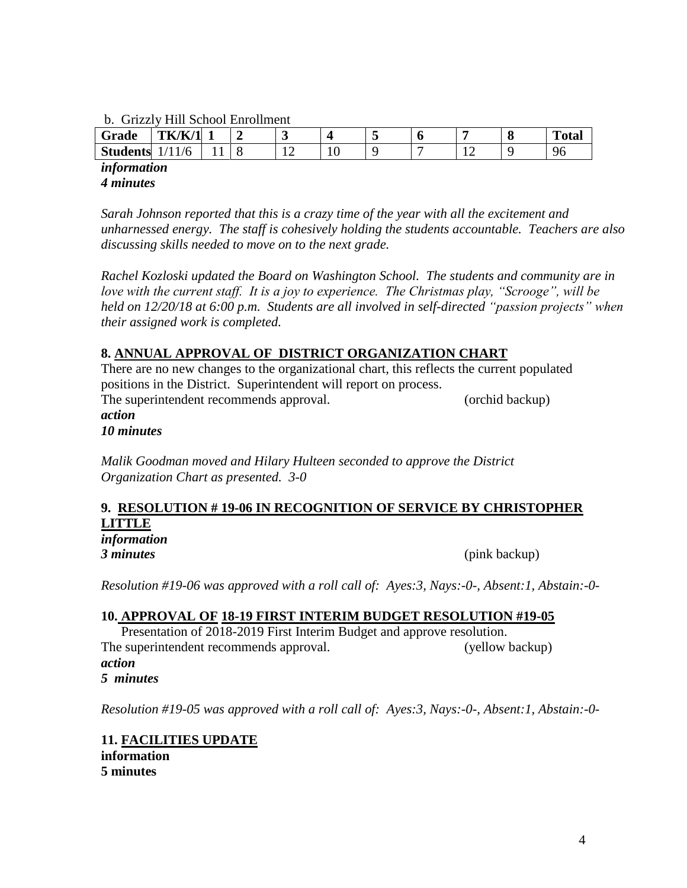#### b. Grizzly Hill School Enrollment

| $\sim$ | Grade           | <b>TK/K/1</b> |  |   |   | л. |          | C | m<br>Total |
|--------|-----------------|---------------|--|---|---|----|----------|---|------------|
|        | <b>Students</b> |               |  | ∸ | ν |    | <b>*</b> |   | 96         |

*information 4 minutes*

*Sarah Johnson reported that this is a crazy time of the year with all the excitement and unharnessed energy. The staff is cohesively holding the students accountable. Teachers are also discussing skills needed to move on to the next grade.*

*Rachel Kozloski updated the Board on Washington School. The students and community are in love with the current staff. It is a joy to experience. The Christmas play, "Scrooge", will be held on 12/20/18 at 6:00 p.m. Students are all involved in self-directed "passion projects" when their assigned work is completed.*

## **8. ANNUAL APPROVAL OF DISTRICT ORGANIZATION CHART**

There are no new changes to the organizational chart, this reflects the current populated positions in the District. Superintendent will report on process. The superintendent recommends approval. (orchid backup) *action*

*10 minutes*

*Malik Goodman moved and Hilary Hulteen seconded to approve the District Organization Chart as presented. 3-0*

## **9. RESOLUTION # 19-06 IN RECOGNITION OF SERVICE BY CHRISTOPHER LITTLE**

*information*

*3 minutes* (pink backup)

*Resolution #19-06 was approved with a roll call of: Ayes:3, Nays:-0-, Absent:1, Abstain:-0-*

### **10. APPROVAL OF 18-19 FIRST INTERIM BUDGET RESOLUTION #19-05**

Presentation of 2018-2019 First Interim Budget and approve resolution. The superintendent recommends approval. (yellow backup) *action 5 minutes*

*Resolution #19-05 was approved with a roll call of: Ayes:3, Nays:-0-, Absent:1, Abstain:-0-*

**11. FACILITIES UPDATE information 5 minutes**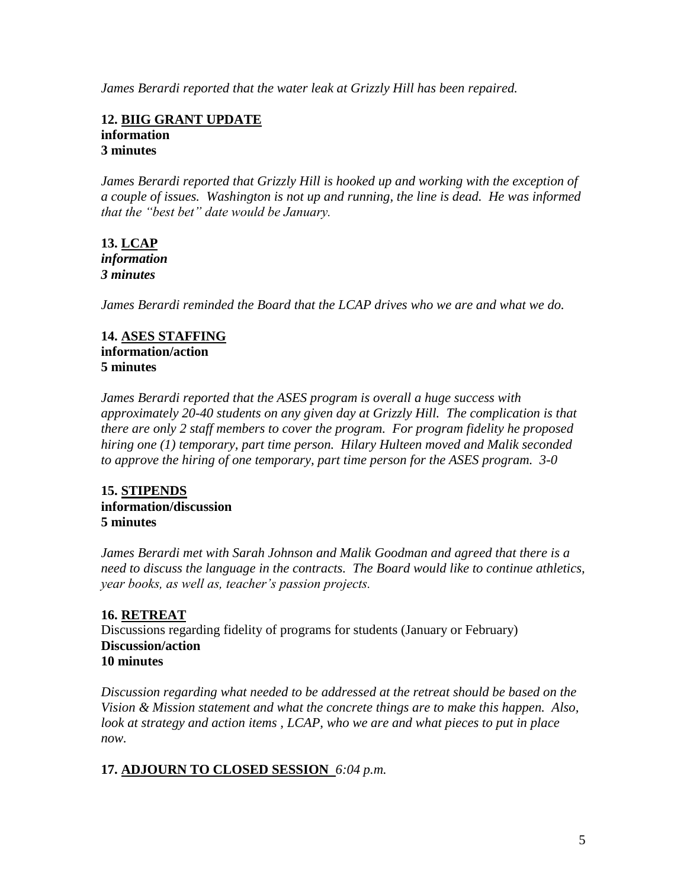*James Berardi reported that the water leak at Grizzly Hill has been repaired.*

#### **12. BIIG GRANT UPDATE information 3 minutes**

*James Berardi reported that Grizzly Hill is hooked up and working with the exception of a couple of issues. Washington is not up and running, the line is dead. He was informed that the "best bet" date would be January.*

## **13. LCAP** *information 3 minutes*

*James Berardi reminded the Board that the LCAP drives who we are and what we do.*

## **14. ASES STAFFING information/action 5 minutes**

*James Berardi reported that the ASES program is overall a huge success with approximately 20-40 students on any given day at Grizzly Hill. The complication is that there are only 2 staff members to cover the program. For program fidelity he proposed hiring one (1) temporary, part time person. Hilary Hulteen moved and Malik seconded to approve the hiring of one temporary, part time person for the ASES program. 3-0*

## **15. STIPENDS information/discussion 5 minutes**

*James Berardi met with Sarah Johnson and Malik Goodman and agreed that there is a need to discuss the language in the contracts. The Board would like to continue athletics, year books, as well as, teacher's passion projects.*

## **16. RETREAT**

Discussions regarding fidelity of programs for students (January or February) **Discussion/action 10 minutes**

*Discussion regarding what needed to be addressed at the retreat should be based on the Vision & Mission statement and what the concrete things are to make this happen. Also, look at strategy and action items , LCAP, who we are and what pieces to put in place now.*

## **17. ADJOURN TO CLOSED SESSION** *6:04 p.m.*